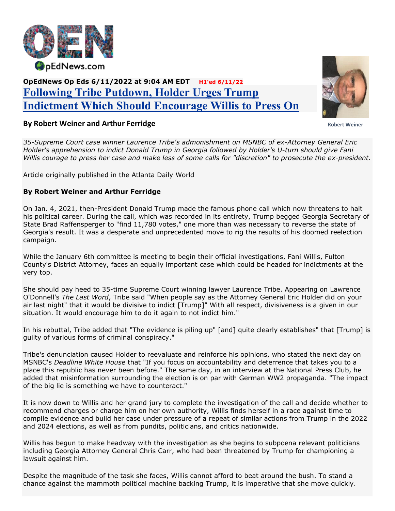

## OpEdNews Op Eds 6/11/2022 at 9:04 AM EDT H1'ed 6/11/22 Following Tribe Putdown, Holder Urges Trump Indictment Which Should Encourage Willis to Press On



## Robert Weiner

## By Robert Weiner and Arthur Ferridge

35-Supreme Court case winner Laurence Tribe's admonishment on MSNBC of ex-Attorney General Eric Holder's apprehension to indict Donald Trump in Georgia followed by Holder's U-turn should give Fani Willis courage to press her case and make less of some calls for "discretion" to prosecute the ex-president.

Article originally published in the Atlanta Daily World

## By Robert Weiner and Arthur Ferridge

On Jan. 4, 2021, then-President Donald Trump made the famous phone call which now threatens to halt his political career. During the call, which was recorded in its entirety, Trump begged Georgia Secretary of State Brad Raffensperger to "find 11,780 votes," one more than was necessary to reverse the state of Georgia's result. It was a desperate and unprecedented move to rig the results of his doomed reelection campaign.

While the January 6th committee is meeting to begin their official investigations, Fani Willis, Fulton County's District Attorney, faces an equally important case which could be headed for indictments at the very top.

She should pay heed to 35-time Supreme Court winning lawyer Laurence Tribe. Appearing on Lawrence O'Donnell's The Last Word, Tribe said "When people say as the Attorney General Eric Holder did on your air last night" that it would be divisive to indict [Trump]" With all respect, divisiveness is a given in our situation. It would encourage him to do it again to not indict him."

In his rebuttal, Tribe added that "The evidence is piling up" [and] quite clearly establishes" that [Trump] is guilty of various forms of criminal conspiracy."

Tribe's denunciation caused Holder to reevaluate and reinforce his opinions, who stated the next day on MSNBC's Deadline White House that "If you focus on accountability and deterrence that takes you to a place this republic has never been before." The same day, in an interview at the National Press Club, he added that misinformation surrounding the election is on par with German WW2 propaganda. "The impact of the big lie is something we have to counteract."

It is now down to Willis and her grand jury to complete the investigation of the call and decide whether to recommend charges or charge him on her own authority, Willis finds herself in a race against time to compile evidence and build her case under pressure of a repeat of similar actions from Trump in the 2022 and 2024 elections, as well as from pundits, politicians, and critics nationwide.

Willis has begun to make headway with the investigation as she begins to subpoena relevant politicians including Georgia Attorney General Chris Carr, who had been threatened by Trump for championing a lawsuit against him.

Despite the magnitude of the task she faces, Willis cannot afford to beat around the bush. To stand a chance against the mammoth political machine backing Trump, it is imperative that she move quickly.